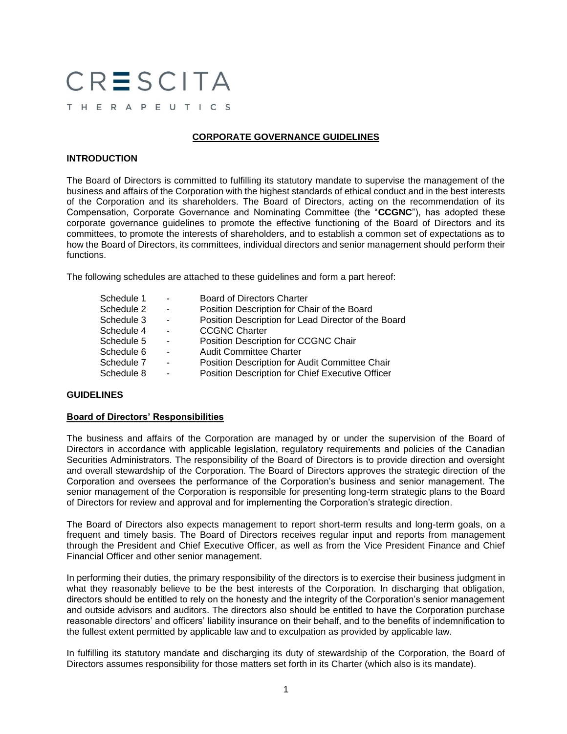# CRESCITA

# THERAPEUTICS

# **CORPORATE GOVERNANCE GUIDELINES**

# **INTRODUCTION**

The Board of Directors is committed to fulfilling its statutory mandate to supervise the management of the business and affairs of the Corporation with the highest standards of ethical conduct and in the best interests of the Corporation and its shareholders. The Board of Directors, acting on the recommendation of its Compensation, Corporate Governance and Nominating Committee (the "**CCGNC**"), has adopted these corporate governance guidelines to promote the effective functioning of the Board of Directors and its committees, to promote the interests of shareholders, and to establish a common set of expectations as to how the Board of Directors, its committees, individual directors and senior management should perform their functions.

The following schedules are attached to these guidelines and form a part hereof:

| Schedule 1 | $\overline{\phantom{a}}$ | <b>Board of Directors Charter</b>                   |
|------------|--------------------------|-----------------------------------------------------|
| Schedule 2 | $\blacksquare$           | Position Description for Chair of the Board         |
| Schedule 3 | $\overline{\phantom{a}}$ | Position Description for Lead Director of the Board |
| Schedule 4 | $\blacksquare$           | <b>CCGNC Charter</b>                                |
| Schedule 5 | $\blacksquare$           | Position Description for CCGNC Chair                |
| Schedule 6 | $\blacksquare$           | <b>Audit Committee Charter</b>                      |
| Schedule 7 | $\blacksquare$           | Position Description for Audit Committee Chair      |
| Schedule 8 | $\blacksquare$           | Position Description for Chief Executive Officer    |
|            |                          |                                                     |

# **GUIDELINES**

# **Board of Directors' Responsibilities**

The business and affairs of the Corporation are managed by or under the supervision of the Board of Directors in accordance with applicable legislation, regulatory requirements and policies of the Canadian Securities Administrators. The responsibility of the Board of Directors is to provide direction and oversight and overall stewardship of the Corporation. The Board of Directors approves the strategic direction of the Corporation and oversees the performance of the Corporation's business and senior management. The senior management of the Corporation is responsible for presenting long-term strategic plans to the Board of Directors for review and approval and for implementing the Corporation's strategic direction.

The Board of Directors also expects management to report short-term results and long-term goals, on a frequent and timely basis. The Board of Directors receives regular input and reports from management through the President and Chief Executive Officer, as well as from the Vice President Finance and Chief Financial Officer and other senior management.

In performing their duties, the primary responsibility of the directors is to exercise their business judgment in what they reasonably believe to be the best interests of the Corporation. In discharging that obligation, directors should be entitled to rely on the honesty and the integrity of the Corporation's senior management and outside advisors and auditors. The directors also should be entitled to have the Corporation purchase reasonable directors' and officers' liability insurance on their behalf, and to the benefits of indemnification to the fullest extent permitted by applicable law and to exculpation as provided by applicable law.

In fulfilling its statutory mandate and discharging its duty of stewardship of the Corporation, the Board of Directors assumes responsibility for those matters set forth in its Charter (which also is its mandate).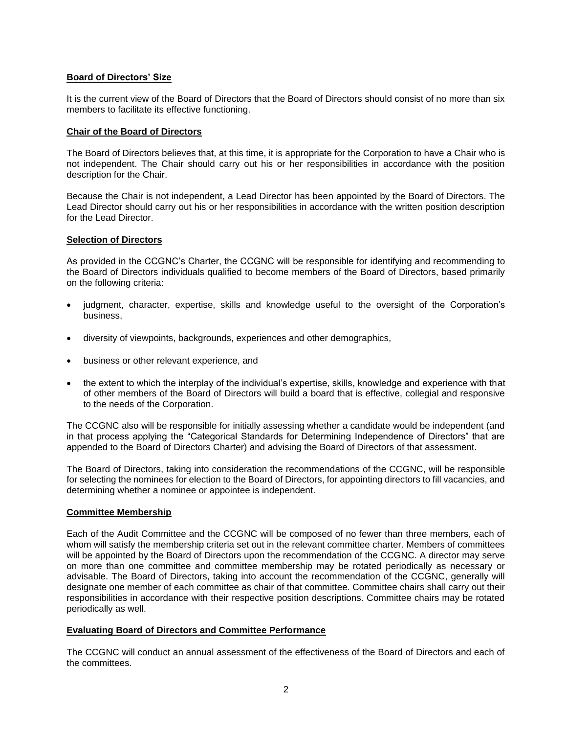# **Board of Directors' Size**

It is the current view of the Board of Directors that the Board of Directors should consist of no more than six members to facilitate its effective functioning.

# **Chair of the Board of Directors**

The Board of Directors believes that, at this time, it is appropriate for the Corporation to have a Chair who is not independent. The Chair should carry out his or her responsibilities in accordance with the position description for the Chair.

Because the Chair is not independent, a Lead Director has been appointed by the Board of Directors. The Lead Director should carry out his or her responsibilities in accordance with the written position description for the Lead Director.

# **Selection of Directors**

As provided in the CCGNC's Charter, the CCGNC will be responsible for identifying and recommending to the Board of Directors individuals qualified to become members of the Board of Directors, based primarily on the following criteria:

- judgment, character, expertise, skills and knowledge useful to the oversight of the Corporation's business,
- diversity of viewpoints, backgrounds, experiences and other demographics,
- business or other relevant experience, and
- the extent to which the interplay of the individual's expertise, skills, knowledge and experience with that of other members of the Board of Directors will build a board that is effective, collegial and responsive to the needs of the Corporation.

The CCGNC also will be responsible for initially assessing whether a candidate would be independent (and in that process applying the "Categorical Standards for Determining Independence of Directors" that are appended to the Board of Directors Charter) and advising the Board of Directors of that assessment.

The Board of Directors, taking into consideration the recommendations of the CCGNC, will be responsible for selecting the nominees for election to the Board of Directors, for appointing directors to fill vacancies, and determining whether a nominee or appointee is independent.

# **Committee Membership**

Each of the Audit Committee and the CCGNC will be composed of no fewer than three members, each of whom will satisfy the membership criteria set out in the relevant committee charter. Members of committees will be appointed by the Board of Directors upon the recommendation of the CCGNC. A director may serve on more than one committee and committee membership may be rotated periodically as necessary or advisable. The Board of Directors, taking into account the recommendation of the CCGNC, generally will designate one member of each committee as chair of that committee. Committee chairs shall carry out their responsibilities in accordance with their respective position descriptions. Committee chairs may be rotated periodically as well.

# **Evaluating Board of Directors and Committee Performance**

The CCGNC will conduct an annual assessment of the effectiveness of the Board of Directors and each of the committees.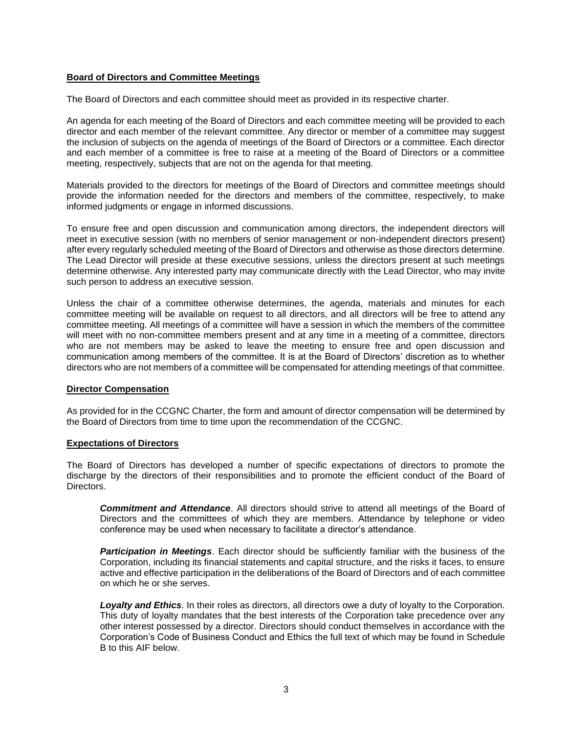# **Board of Directors and Committee Meetings**

The Board of Directors and each committee should meet as provided in its respective charter.

An agenda for each meeting of the Board of Directors and each committee meeting will be provided to each director and each member of the relevant committee. Any director or member of a committee may suggest the inclusion of subjects on the agenda of meetings of the Board of Directors or a committee. Each director and each member of a committee is free to raise at a meeting of the Board of Directors or a committee meeting, respectively, subjects that are not on the agenda for that meeting.

Materials provided to the directors for meetings of the Board of Directors and committee meetings should provide the information needed for the directors and members of the committee, respectively, to make informed judgments or engage in informed discussions.

To ensure free and open discussion and communication among directors, the independent directors will meet in executive session (with no members of senior management or non-independent directors present) after every regularly scheduled meeting of the Board of Directors and otherwise as those directors determine. The Lead Director will preside at these executive sessions, unless the directors present at such meetings determine otherwise. Any interested party may communicate directly with the Lead Director, who may invite such person to address an executive session.

Unless the chair of a committee otherwise determines, the agenda, materials and minutes for each committee meeting will be available on request to all directors, and all directors will be free to attend any committee meeting. All meetings of a committee will have a session in which the members of the committee will meet with no non-committee members present and at any time in a meeting of a committee, directors who are not members may be asked to leave the meeting to ensure free and open discussion and communication among members of the committee. It is at the Board of Directors' discretion as to whether directors who are not members of a committee will be compensated for attending meetings of that committee.

#### **Director Compensation**

As provided for in the CCGNC Charter, the form and amount of director compensation will be determined by the Board of Directors from time to time upon the recommendation of the CCGNC.

#### **Expectations of Directors**

The Board of Directors has developed a number of specific expectations of directors to promote the discharge by the directors of their responsibilities and to promote the efficient conduct of the Board of Directors.

*Commitment and Attendance*. All directors should strive to attend all meetings of the Board of Directors and the committees of which they are members. Attendance by telephone or video conference may be used when necessary to facilitate a director's attendance.

*Participation in Meetings*. Each director should be sufficiently familiar with the business of the Corporation, including its financial statements and capital structure, and the risks it faces, to ensure active and effective participation in the deliberations of the Board of Directors and of each committee on which he or she serves.

*Loyalty and Ethics*. In their roles as directors, all directors owe a duty of loyalty to the Corporation. This duty of loyalty mandates that the best interests of the Corporation take precedence over any other interest possessed by a director. Directors should conduct themselves in accordance with the Corporation's Code of Business Conduct and Ethics the full text of which may be found in Schedule B to this AIF below.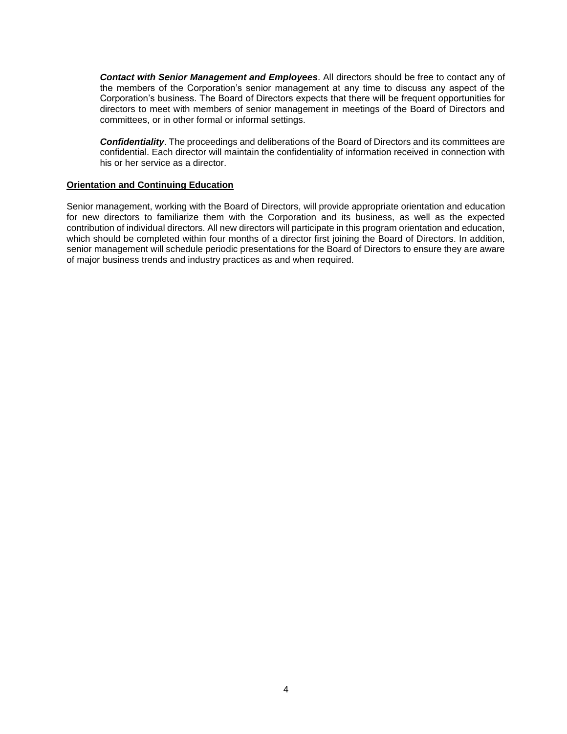*Contact with Senior Management and Employees*. All directors should be free to contact any of the members of the Corporation's senior management at any time to discuss any aspect of the Corporation's business. The Board of Directors expects that there will be frequent opportunities for directors to meet with members of senior management in meetings of the Board of Directors and committees, or in other formal or informal settings.

*Confidentiality*. The proceedings and deliberations of the Board of Directors and its committees are confidential. Each director will maintain the confidentiality of information received in connection with his or her service as a director.

#### **Orientation and Continuing Education**

Senior management, working with the Board of Directors, will provide appropriate orientation and education for new directors to familiarize them with the Corporation and its business, as well as the expected contribution of individual directors. All new directors will participate in this program orientation and education, which should be completed within four months of a director first joining the Board of Directors. In addition, senior management will schedule periodic presentations for the Board of Directors to ensure they are aware of major business trends and industry practices as and when required.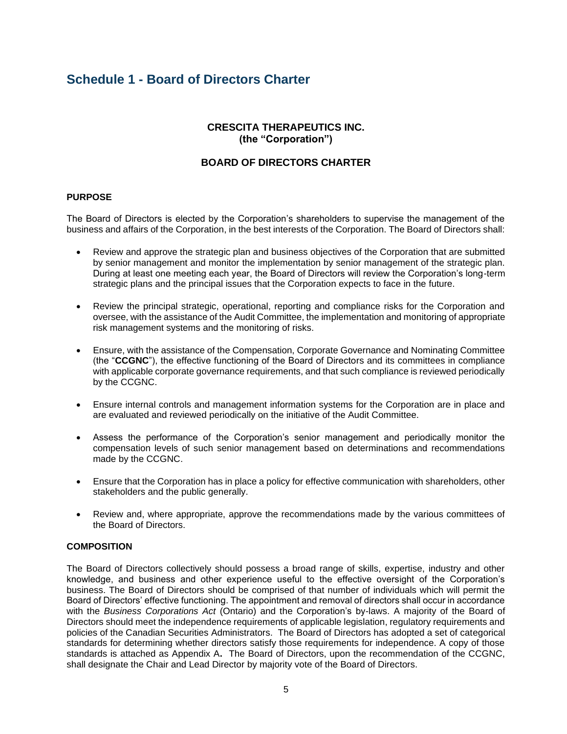# **Schedule 1 - Board of Directors Charter**

# **CRESCITA THERAPEUTICS INC. (the "Corporation")**

# **BOARD OF DIRECTORS CHARTER**

# **PURPOSE**

The Board of Directors is elected by the Corporation's shareholders to supervise the management of the business and affairs of the Corporation, in the best interests of the Corporation. The Board of Directors shall:

- Review and approve the strategic plan and business objectives of the Corporation that are submitted by senior management and monitor the implementation by senior management of the strategic plan. During at least one meeting each year, the Board of Directors will review the Corporation's long-term strategic plans and the principal issues that the Corporation expects to face in the future.
- Review the principal strategic, operational, reporting and compliance risks for the Corporation and oversee, with the assistance of the Audit Committee, the implementation and monitoring of appropriate risk management systems and the monitoring of risks.
- Ensure, with the assistance of the Compensation, Corporate Governance and Nominating Committee (the "**CCGNC**"), the effective functioning of the Board of Directors and its committees in compliance with applicable corporate governance requirements, and that such compliance is reviewed periodically by the CCGNC.
- Ensure internal controls and management information systems for the Corporation are in place and are evaluated and reviewed periodically on the initiative of the Audit Committee.
- Assess the performance of the Corporation's senior management and periodically monitor the compensation levels of such senior management based on determinations and recommendations made by the CCGNC.
- Ensure that the Corporation has in place a policy for effective communication with shareholders, other stakeholders and the public generally.
- Review and, where appropriate, approve the recommendations made by the various committees of the Board of Directors.

# **COMPOSITION**

The Board of Directors collectively should possess a broad range of skills, expertise, industry and other knowledge, and business and other experience useful to the effective oversight of the Corporation's business. The Board of Directors should be comprised of that number of individuals which will permit the Board of Directors' effective functioning. The appointment and removal of directors shall occur in accordance with the *Business Corporations Act* (Ontario) and the Corporation's by-laws. A majority of the Board of Directors should meet the independence requirements of applicable legislation, regulatory requirements and policies of the Canadian Securities Administrators. The Board of Directors has adopted a set of categorical standards for determining whether directors satisfy those requirements for independence. A copy of those standards is attached as Appendix A**.** The Board of Directors, upon the recommendation of the CCGNC, shall designate the Chair and Lead Director by majority vote of the Board of Directors.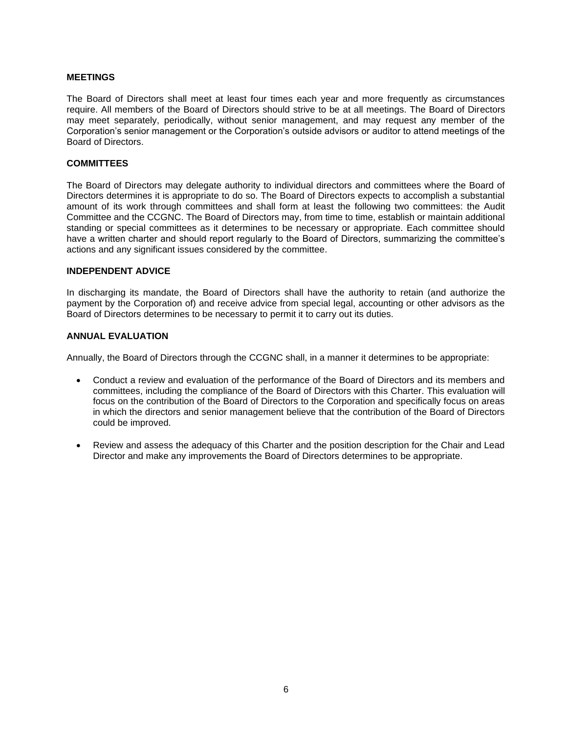# **MEETINGS**

The Board of Directors shall meet at least four times each year and more frequently as circumstances require. All members of the Board of Directors should strive to be at all meetings. The Board of Directors may meet separately, periodically, without senior management, and may request any member of the Corporation's senior management or the Corporation's outside advisors or auditor to attend meetings of the Board of Directors.

#### **COMMITTEES**

The Board of Directors may delegate authority to individual directors and committees where the Board of Directors determines it is appropriate to do so. The Board of Directors expects to accomplish a substantial amount of its work through committees and shall form at least the following two committees: the Audit Committee and the CCGNC. The Board of Directors may, from time to time, establish or maintain additional standing or special committees as it determines to be necessary or appropriate. Each committee should have a written charter and should report regularly to the Board of Directors, summarizing the committee's actions and any significant issues considered by the committee.

#### **INDEPENDENT ADVICE**

In discharging its mandate, the Board of Directors shall have the authority to retain (and authorize the payment by the Corporation of) and receive advice from special legal, accounting or other advisors as the Board of Directors determines to be necessary to permit it to carry out its duties.

# **ANNUAL EVALUATION**

Annually, the Board of Directors through the CCGNC shall, in a manner it determines to be appropriate:

- Conduct a review and evaluation of the performance of the Board of Directors and its members and committees, including the compliance of the Board of Directors with this Charter. This evaluation will focus on the contribution of the Board of Directors to the Corporation and specifically focus on areas in which the directors and senior management believe that the contribution of the Board of Directors could be improved.
- Review and assess the adequacy of this Charter and the position description for the Chair and Lead Director and make any improvements the Board of Directors determines to be appropriate.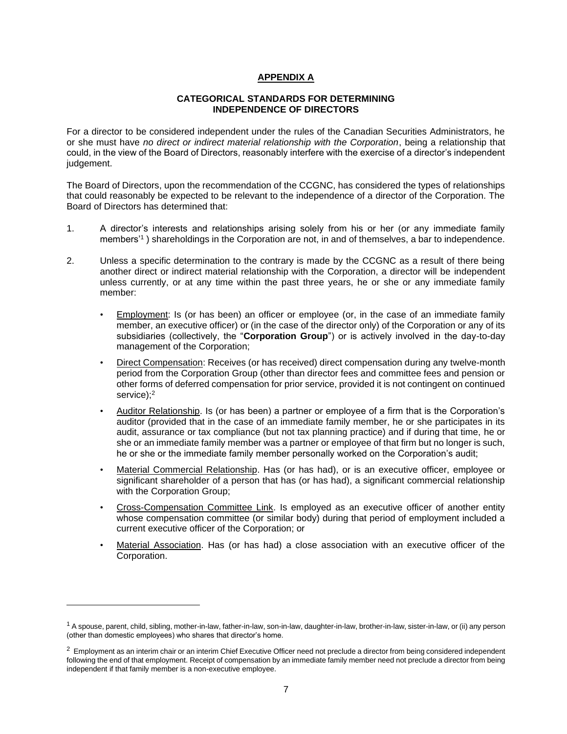# **APPENDIX A**

#### **CATEGORICAL STANDARDS FOR DETERMINING INDEPENDENCE OF DIRECTORS**

For a director to be considered independent under the rules of the Canadian Securities Administrators, he or she must have *no direct or indirect material relationship with the Corporation*, being a relationship that could, in the view of the Board of Directors, reasonably interfere with the exercise of a director's independent judgement.

The Board of Directors, upon the recommendation of the CCGNC, has considered the types of relationships that could reasonably be expected to be relevant to the independence of a director of the Corporation. The Board of Directors has determined that:

- 1. A director's interests and relationships arising solely from his or her (or any immediate family members'<sup>1</sup> ) shareholdings in the Corporation are not, in and of themselves, a bar to independence.
- 2. Unless a specific determination to the contrary is made by the CCGNC as a result of there being another direct or indirect material relationship with the Corporation, a director will be independent unless currently, or at any time within the past three years, he or she or any immediate family member:
	- **Employment:** Is (or has been) an officer or employee (or, in the case of an immediate family member, an executive officer) or (in the case of the director only) of the Corporation or any of its subsidiaries (collectively, the "**Corporation Group**") or is actively involved in the day-to-day management of the Corporation;
	- Direct Compensation: Receives (or has received) direct compensation during any twelve-month period from the Corporation Group (other than director fees and committee fees and pension or other forms of deferred compensation for prior service, provided it is not contingent on continued service);<sup>2</sup>
	- Auditor Relationship. Is (or has been) a partner or employee of a firm that is the Corporation's auditor (provided that in the case of an immediate family member, he or she participates in its audit, assurance or tax compliance (but not tax planning practice) and if during that time, he or she or an immediate family member was a partner or employee of that firm but no longer is such, he or she or the immediate family member personally worked on the Corporation's audit;
	- Material Commercial Relationship. Has (or has had), or is an executive officer, employee or significant shareholder of a person that has (or has had), a significant commercial relationship with the Corporation Group;
	- Cross-Compensation Committee Link. Is employed as an executive officer of another entity whose compensation committee (or similar body) during that period of employment included a current executive officer of the Corporation; or
	- Material Association. Has (or has had) a close association with an executive officer of the Corporation.

<sup>&</sup>lt;sup>1</sup> A spouse, parent, child, sibling, mother-in-law, father-in-law, son-in-law, daughter-in-law, brother-in-law, sister-in-law, or (ii) any person (other than domestic employees) who shares that director's home.

<sup>&</sup>lt;sup>2</sup> Employment as an interim chair or an interim Chief Executive Officer need not preclude a director from being considered independent following the end of that employment. Receipt of compensation by an immediate family member need not preclude a director from being independent if that family member is a non-executive employee.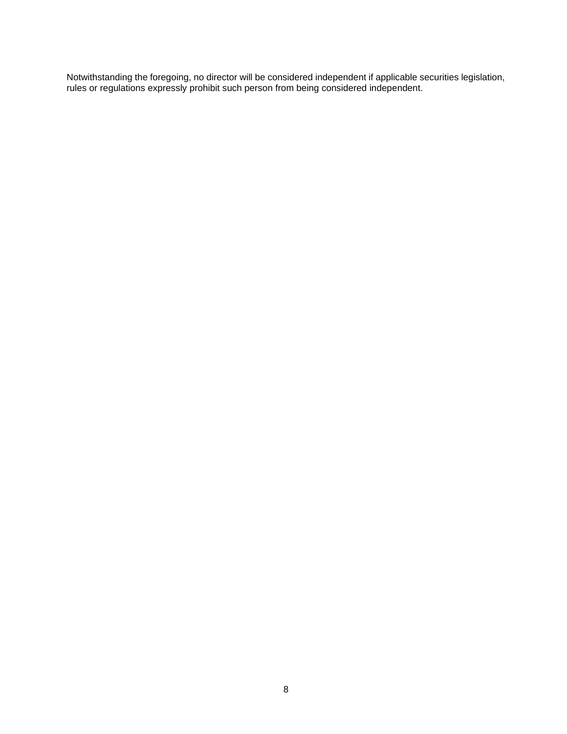Notwithstanding the foregoing, no director will be considered independent if applicable securities legislation, rules or regulations expressly prohibit such person from being considered independent.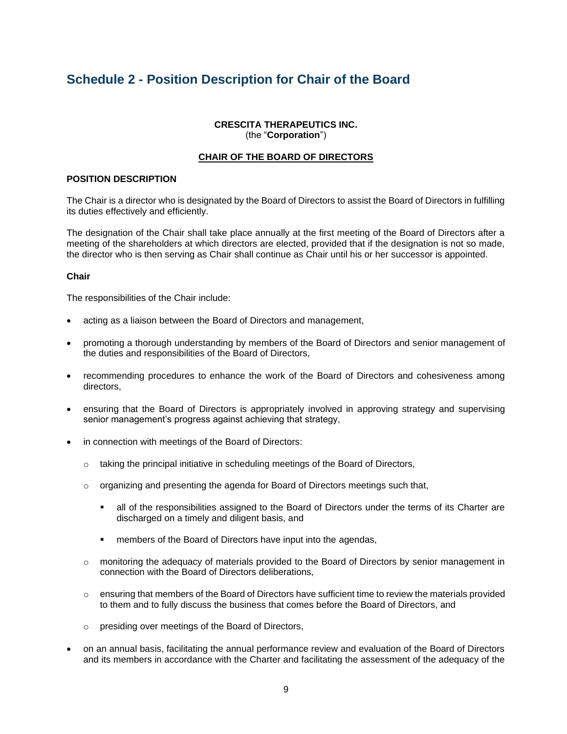# **Schedule 2 - Position Description for Chair of the Board**

# **CRESCITA THERAPEUTICS INC.** (the "**Corporation**")

# **CHAIR OF THE BOARD OF DIRECTORS**

#### **POSITION DESCRIPTION**

The Chair is a director who is designated by the Board of Directors to assist the Board of Directors in fulfilling its duties effectively and efficiently.

The designation of the Chair shall take place annually at the first meeting of the Board of Directors after a meeting of the shareholders at which directors are elected, provided that if the designation is not so made, the director who is then serving as Chair shall continue as Chair until his or her successor is appointed.

#### **Chair**

The responsibilities of the Chair include:

- acting as a liaison between the Board of Directors and management,
- promoting a thorough understanding by members of the Board of Directors and senior management of the duties and responsibilities of the Board of Directors,
- recommending procedures to enhance the work of the Board of Directors and cohesiveness among directors,
- ensuring that the Board of Directors is appropriately involved in approving strategy and supervising senior management's progress against achieving that strategy,
- in connection with meetings of the Board of Directors:
	- o taking the principal initiative in scheduling meetings of the Board of Directors,
	- $\circ$  organizing and presenting the agenda for Board of Directors meetings such that,
		- **.** all of the responsibilities assigned to the Board of Directors under the terms of its Charter are discharged on a timely and diligent basis, and
		- **EXEDER** members of the Board of Directors have input into the agendas,
	- o monitoring the adequacy of materials provided to the Board of Directors by senior management in connection with the Board of Directors deliberations,
	- $\circ$  ensuring that members of the Board of Directors have sufficient time to review the materials provided to them and to fully discuss the business that comes before the Board of Directors, and
	- o presiding over meetings of the Board of Directors,
- on an annual basis, facilitating the annual performance review and evaluation of the Board of Directors and its members in accordance with the Charter and facilitating the assessment of the adequacy of the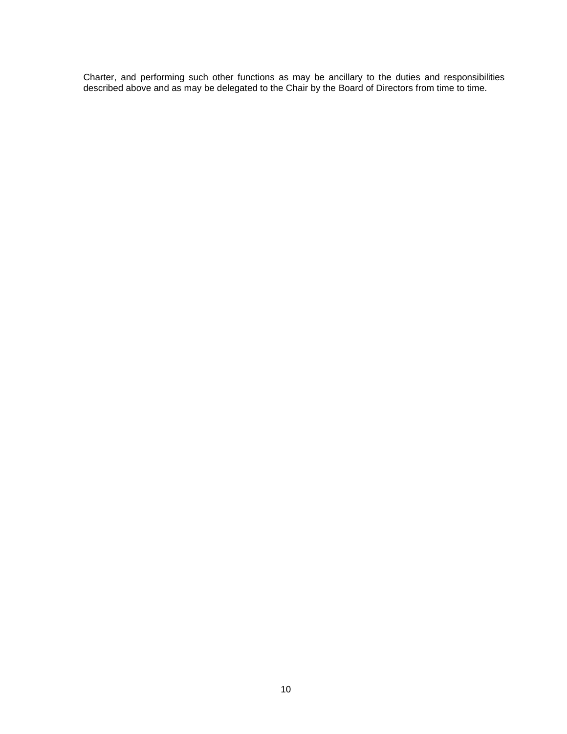Charter, and performing such other functions as may be ancillary to the duties and responsibilities described above and as may be delegated to the Chair by the Board of Directors from time to time.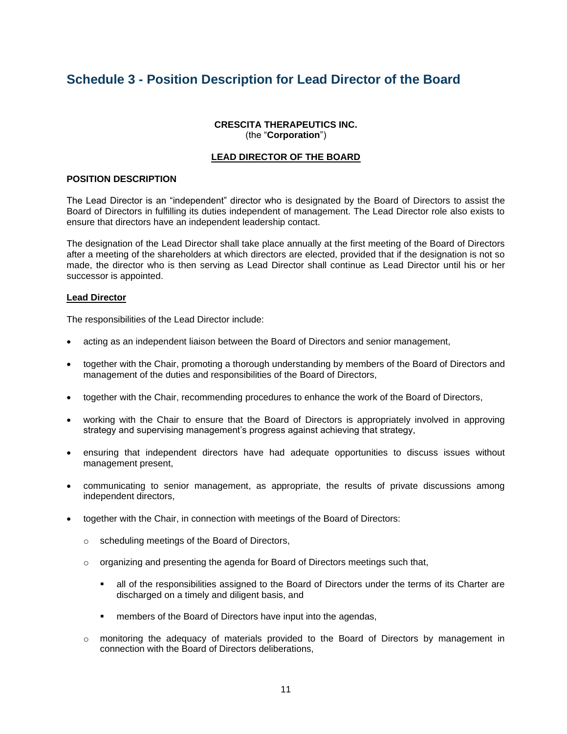# **Schedule 3 - Position Description for Lead Director of the Board**

# **CRESCITA THERAPEUTICS INC.** (the "**Corporation**")

# **LEAD DIRECTOR OF THE BOARD**

# **POSITION DESCRIPTION**

The Lead Director is an "independent" director who is designated by the Board of Directors to assist the Board of Directors in fulfilling its duties independent of management. The Lead Director role also exists to ensure that directors have an independent leadership contact.

The designation of the Lead Director shall take place annually at the first meeting of the Board of Directors after a meeting of the shareholders at which directors are elected, provided that if the designation is not so made, the director who is then serving as Lead Director shall continue as Lead Director until his or her successor is appointed.

#### **Lead Director**

The responsibilities of the Lead Director include:

- acting as an independent liaison between the Board of Directors and senior management,
- together with the Chair, promoting a thorough understanding by members of the Board of Directors and management of the duties and responsibilities of the Board of Directors,
- together with the Chair, recommending procedures to enhance the work of the Board of Directors,
- working with the Chair to ensure that the Board of Directors is appropriately involved in approving strategy and supervising management's progress against achieving that strategy,
- ensuring that independent directors have had adequate opportunities to discuss issues without management present,
- communicating to senior management, as appropriate, the results of private discussions among independent directors,
- together with the Chair, in connection with meetings of the Board of Directors:
	- o scheduling meetings of the Board of Directors,
	- $\circ$  organizing and presenting the agenda for Board of Directors meetings such that,
		- **EXECT** all of the responsibilities assigned to the Board of Directors under the terms of its Charter are discharged on a timely and diligent basis, and
		- members of the Board of Directors have input into the agendas,
	- $\circ$  monitoring the adequacy of materials provided to the Board of Directors by management in connection with the Board of Directors deliberations,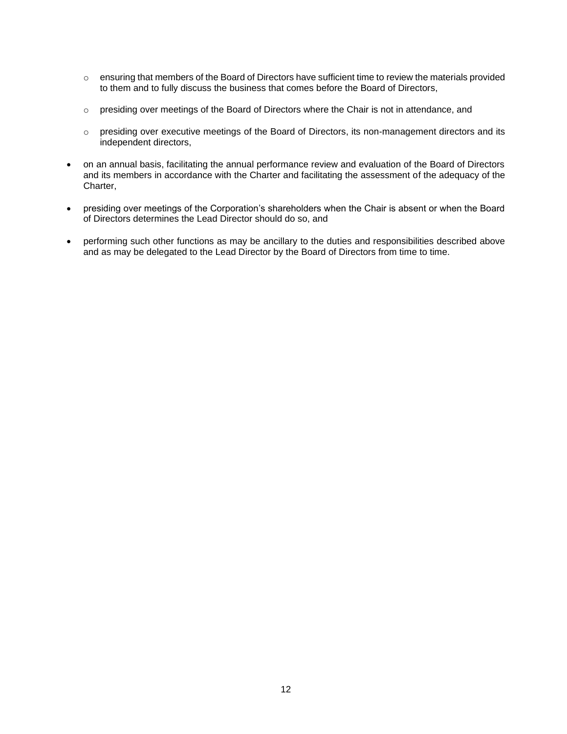- $\circ$  ensuring that members of the Board of Directors have sufficient time to review the materials provided to them and to fully discuss the business that comes before the Board of Directors,
- $\circ$  presiding over meetings of the Board of Directors where the Chair is not in attendance, and
- o presiding over executive meetings of the Board of Directors, its non-management directors and its independent directors,
- on an annual basis, facilitating the annual performance review and evaluation of the Board of Directors and its members in accordance with the Charter and facilitating the assessment of the adequacy of the Charter,
- presiding over meetings of the Corporation's shareholders when the Chair is absent or when the Board of Directors determines the Lead Director should do so, and
- performing such other functions as may be ancillary to the duties and responsibilities described above and as may be delegated to the Lead Director by the Board of Directors from time to time.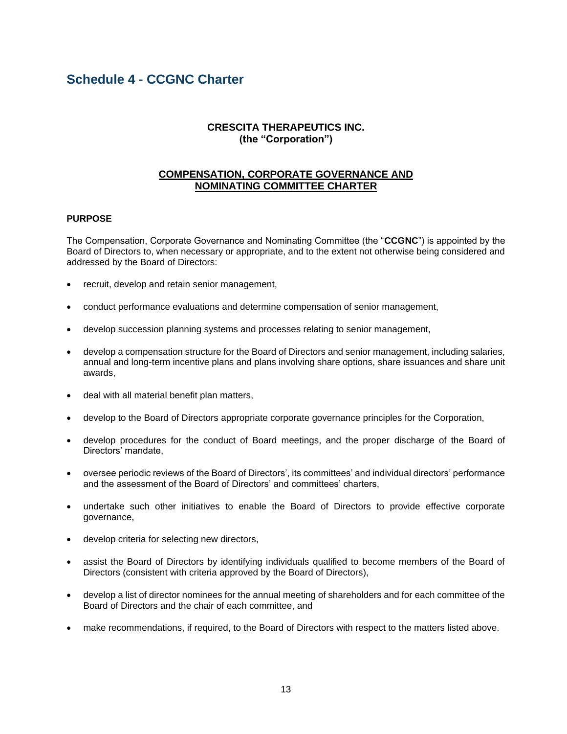# **Schedule 4 - CCGNC Charter**

# **CRESCITA THERAPEUTICS INC. (the "Corporation")**

# **COMPENSATION, CORPORATE GOVERNANCE AND NOMINATING COMMITTEE CHARTER**

# **PURPOSE**

The Compensation, Corporate Governance and Nominating Committee (the "**CCGNC**") is appointed by the Board of Directors to, when necessary or appropriate, and to the extent not otherwise being considered and addressed by the Board of Directors:

- recruit, develop and retain senior management,
- conduct performance evaluations and determine compensation of senior management,
- develop succession planning systems and processes relating to senior management,
- develop a compensation structure for the Board of Directors and senior management, including salaries, annual and long-term incentive plans and plans involving share options, share issuances and share unit awards,
- deal with all material benefit plan matters,
- develop to the Board of Directors appropriate corporate governance principles for the Corporation,
- develop procedures for the conduct of Board meetings, and the proper discharge of the Board of Directors' mandate,
- oversee periodic reviews of the Board of Directors', its committees' and individual directors' performance and the assessment of the Board of Directors' and committees' charters,
- undertake such other initiatives to enable the Board of Directors to provide effective corporate governance,
- develop criteria for selecting new directors,
- assist the Board of Directors by identifying individuals qualified to become members of the Board of Directors (consistent with criteria approved by the Board of Directors),
- develop a list of director nominees for the annual meeting of shareholders and for each committee of the Board of Directors and the chair of each committee, and
- make recommendations, if required, to the Board of Directors with respect to the matters listed above.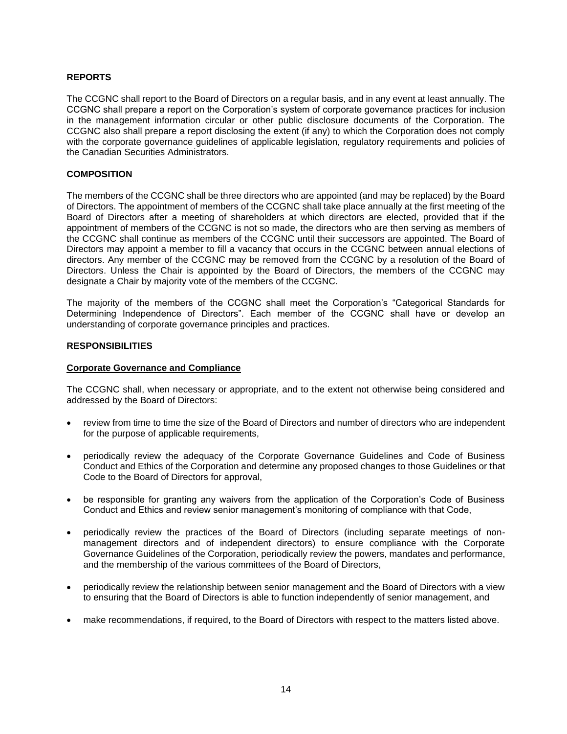# **REPORTS**

The CCGNC shall report to the Board of Directors on a regular basis, and in any event at least annually. The CCGNC shall prepare a report on the Corporation's system of corporate governance practices for inclusion in the management information circular or other public disclosure documents of the Corporation. The CCGNC also shall prepare a report disclosing the extent (if any) to which the Corporation does not comply with the corporate governance guidelines of applicable legislation, regulatory requirements and policies of the Canadian Securities Administrators.

# **COMPOSITION**

The members of the CCGNC shall be three directors who are appointed (and may be replaced) by the Board of Directors. The appointment of members of the CCGNC shall take place annually at the first meeting of the Board of Directors after a meeting of shareholders at which directors are elected, provided that if the appointment of members of the CCGNC is not so made, the directors who are then serving as members of the CCGNC shall continue as members of the CCGNC until their successors are appointed. The Board of Directors may appoint a member to fill a vacancy that occurs in the CCGNC between annual elections of directors. Any member of the CCGNC may be removed from the CCGNC by a resolution of the Board of Directors. Unless the Chair is appointed by the Board of Directors, the members of the CCGNC may designate a Chair by majority vote of the members of the CCGNC.

The majority of the members of the CCGNC shall meet the Corporation's "Categorical Standards for Determining Independence of Directors". Each member of the CCGNC shall have or develop an understanding of corporate governance principles and practices.

#### **RESPONSIBILITIES**

#### **Corporate Governance and Compliance**

The CCGNC shall, when necessary or appropriate, and to the extent not otherwise being considered and addressed by the Board of Directors:

- review from time to time the size of the Board of Directors and number of directors who are independent for the purpose of applicable requirements,
- periodically review the adequacy of the Corporate Governance Guidelines and Code of Business Conduct and Ethics of the Corporation and determine any proposed changes to those Guidelines or that Code to the Board of Directors for approval,
- be responsible for granting any waivers from the application of the Corporation's Code of Business Conduct and Ethics and review senior management's monitoring of compliance with that Code,
- periodically review the practices of the Board of Directors (including separate meetings of nonmanagement directors and of independent directors) to ensure compliance with the Corporate Governance Guidelines of the Corporation, periodically review the powers, mandates and performance, and the membership of the various committees of the Board of Directors,
- periodically review the relationship between senior management and the Board of Directors with a view to ensuring that the Board of Directors is able to function independently of senior management, and
- make recommendations, if required, to the Board of Directors with respect to the matters listed above.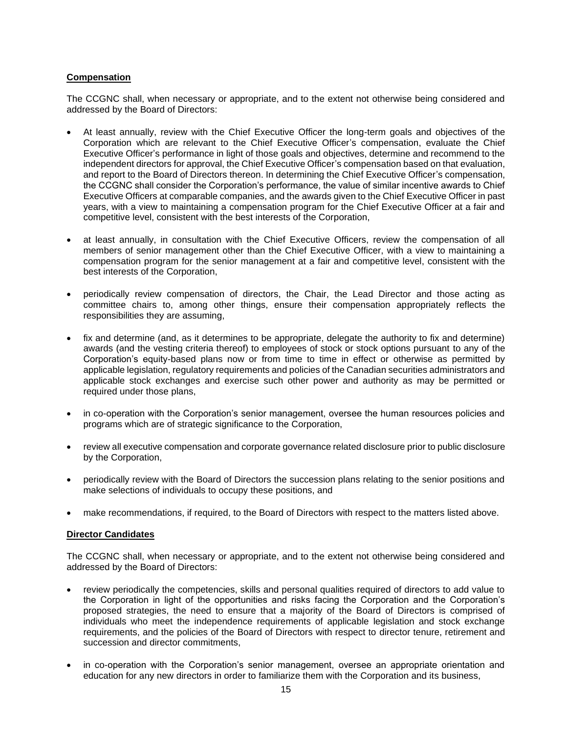# **Compensation**

The CCGNC shall, when necessary or appropriate, and to the extent not otherwise being considered and addressed by the Board of Directors:

- At least annually, review with the Chief Executive Officer the long-term goals and objectives of the Corporation which are relevant to the Chief Executive Officer's compensation, evaluate the Chief Executive Officer's performance in light of those goals and objectives, determine and recommend to the independent directors for approval, the Chief Executive Officer's compensation based on that evaluation, and report to the Board of Directors thereon. In determining the Chief Executive Officer's compensation, the CCGNC shall consider the Corporation's performance, the value of similar incentive awards to Chief Executive Officers at comparable companies, and the awards given to the Chief Executive Officer in past years, with a view to maintaining a compensation program for the Chief Executive Officer at a fair and competitive level, consistent with the best interests of the Corporation,
- at least annually, in consultation with the Chief Executive Officers, review the compensation of all members of senior management other than the Chief Executive Officer, with a view to maintaining a compensation program for the senior management at a fair and competitive level, consistent with the best interests of the Corporation,
- periodically review compensation of directors, the Chair, the Lead Director and those acting as committee chairs to, among other things, ensure their compensation appropriately reflects the responsibilities they are assuming,
- fix and determine (and, as it determines to be appropriate, delegate the authority to fix and determine) awards (and the vesting criteria thereof) to employees of stock or stock options pursuant to any of the Corporation's equity-based plans now or from time to time in effect or otherwise as permitted by applicable legislation, regulatory requirements and policies of the Canadian securities administrators and applicable stock exchanges and exercise such other power and authority as may be permitted or required under those plans,
- in co-operation with the Corporation's senior management, oversee the human resources policies and programs which are of strategic significance to the Corporation,
- review all executive compensation and corporate governance related disclosure prior to public disclosure by the Corporation,
- periodically review with the Board of Directors the succession plans relating to the senior positions and make selections of individuals to occupy these positions, and
- make recommendations, if required, to the Board of Directors with respect to the matters listed above.

# **Director Candidates**

The CCGNC shall, when necessary or appropriate, and to the extent not otherwise being considered and addressed by the Board of Directors:

- review periodically the competencies, skills and personal qualities required of directors to add value to the Corporation in light of the opportunities and risks facing the Corporation and the Corporation's proposed strategies, the need to ensure that a majority of the Board of Directors is comprised of individuals who meet the independence requirements of applicable legislation and stock exchange requirements, and the policies of the Board of Directors with respect to director tenure, retirement and succession and director commitments.
- in co-operation with the Corporation's senior management, oversee an appropriate orientation and education for any new directors in order to familiarize them with the Corporation and its business,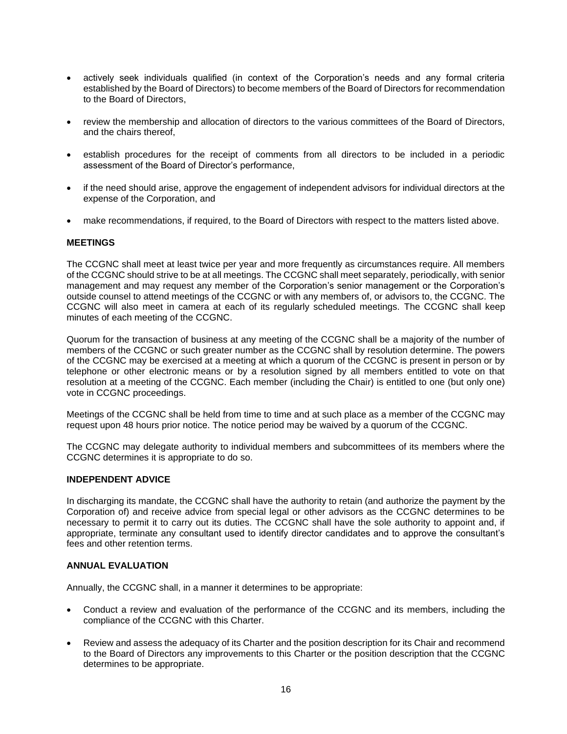- actively seek individuals qualified (in context of the Corporation's needs and any formal criteria established by the Board of Directors) to become members of the Board of Directors for recommendation to the Board of Directors,
- review the membership and allocation of directors to the various committees of the Board of Directors, and the chairs thereof,
- establish procedures for the receipt of comments from all directors to be included in a periodic assessment of the Board of Director's performance,
- if the need should arise, approve the engagement of independent advisors for individual directors at the expense of the Corporation, and
- make recommendations, if required, to the Board of Directors with respect to the matters listed above.

#### **MEETINGS**

The CCGNC shall meet at least twice per year and more frequently as circumstances require. All members of the CCGNC should strive to be at all meetings. The CCGNC shall meet separately, periodically, with senior management and may request any member of the Corporation's senior management or the Corporation's outside counsel to attend meetings of the CCGNC or with any members of, or advisors to, the CCGNC. The CCGNC will also meet in camera at each of its regularly scheduled meetings. The CCGNC shall keep minutes of each meeting of the CCGNC.

Quorum for the transaction of business at any meeting of the CCGNC shall be a majority of the number of members of the CCGNC or such greater number as the CCGNC shall by resolution determine. The powers of the CCGNC may be exercised at a meeting at which a quorum of the CCGNC is present in person or by telephone or other electronic means or by a resolution signed by all members entitled to vote on that resolution at a meeting of the CCGNC. Each member (including the Chair) is entitled to one (but only one) vote in CCGNC proceedings.

Meetings of the CCGNC shall be held from time to time and at such place as a member of the CCGNC may request upon 48 hours prior notice. The notice period may be waived by a quorum of the CCGNC.

The CCGNC may delegate authority to individual members and subcommittees of its members where the CCGNC determines it is appropriate to do so.

#### **INDEPENDENT ADVICE**

In discharging its mandate, the CCGNC shall have the authority to retain (and authorize the payment by the Corporation of) and receive advice from special legal or other advisors as the CCGNC determines to be necessary to permit it to carry out its duties. The CCGNC shall have the sole authority to appoint and, if appropriate, terminate any consultant used to identify director candidates and to approve the consultant's fees and other retention terms.

# **ANNUAL EVALUATION**

Annually, the CCGNC shall, in a manner it determines to be appropriate:

- Conduct a review and evaluation of the performance of the CCGNC and its members, including the compliance of the CCGNC with this Charter.
- Review and assess the adequacy of its Charter and the position description for its Chair and recommend to the Board of Directors any improvements to this Charter or the position description that the CCGNC determines to be appropriate.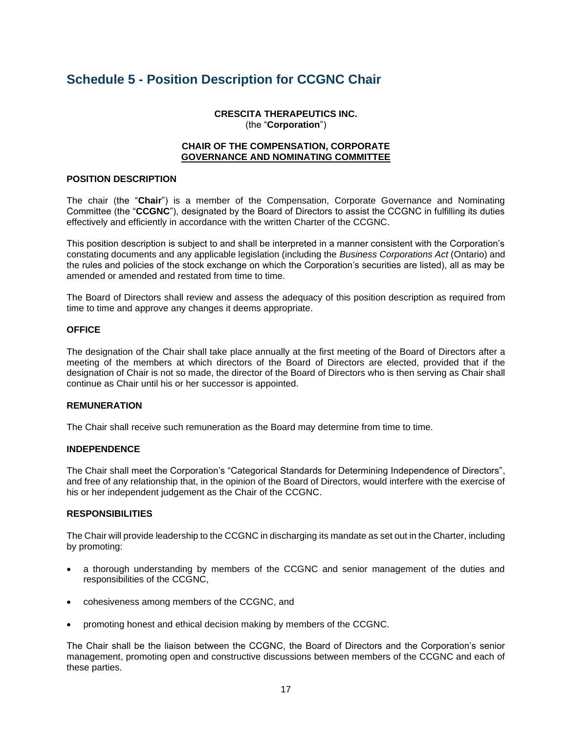# **Schedule 5 - Position Description for CCGNC Chair**

**CRESCITA THERAPEUTICS INC.** (the "**Corporation**")

# **CHAIR OF THE COMPENSATION, CORPORATE GOVERNANCE AND NOMINATING COMMITTEE**

# **POSITION DESCRIPTION**

The chair (the "**Chair**") is a member of the Compensation, Corporate Governance and Nominating Committee (the "**CCGNC**"), designated by the Board of Directors to assist the CCGNC in fulfilling its duties effectively and efficiently in accordance with the written Charter of the CCGNC.

This position description is subject to and shall be interpreted in a manner consistent with the Corporation's constating documents and any applicable legislation (including the *Business Corporations Act* (Ontario) and the rules and policies of the stock exchange on which the Corporation's securities are listed), all as may be amended or amended and restated from time to time.

The Board of Directors shall review and assess the adequacy of this position description as required from time to time and approve any changes it deems appropriate.

# **OFFICE**

The designation of the Chair shall take place annually at the first meeting of the Board of Directors after a meeting of the members at which directors of the Board of Directors are elected, provided that if the designation of Chair is not so made, the director of the Board of Directors who is then serving as Chair shall continue as Chair until his or her successor is appointed.

# **REMUNERATION**

The Chair shall receive such remuneration as the Board may determine from time to time.

# **INDEPENDENCE**

The Chair shall meet the Corporation's "Categorical Standards for Determining Independence of Directors", and free of any relationship that, in the opinion of the Board of Directors, would interfere with the exercise of his or her independent judgement as the Chair of the CCGNC.

# **RESPONSIBILITIES**

The Chair will provide leadership to the CCGNC in discharging its mandate as set out in the Charter, including by promoting:

- a thorough understanding by members of the CCGNC and senior management of the duties and responsibilities of the CCGNC,
- cohesiveness among members of the CCGNC, and
- promoting honest and ethical decision making by members of the CCGNC.

The Chair shall be the liaison between the CCGNC, the Board of Directors and the Corporation's senior management, promoting open and constructive discussions between members of the CCGNC and each of these parties.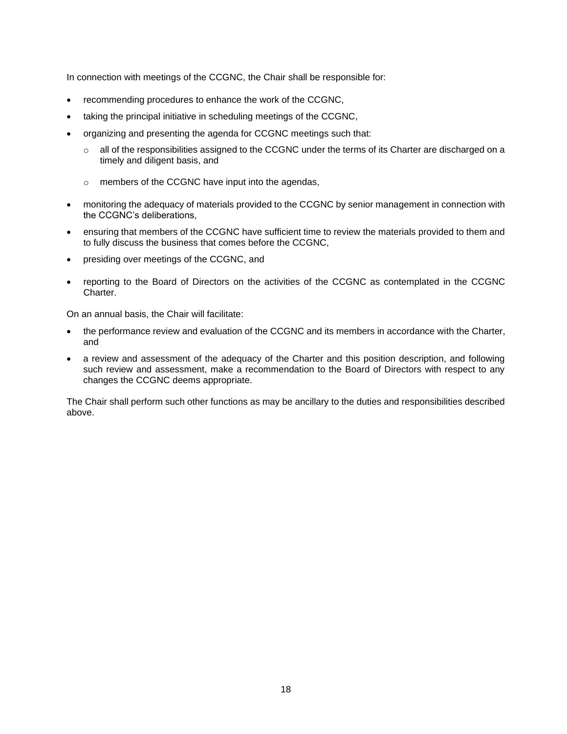In connection with meetings of the CCGNC, the Chair shall be responsible for:

- recommending procedures to enhance the work of the CCGNC,
- taking the principal initiative in scheduling meetings of the CCGNC,
- organizing and presenting the agenda for CCGNC meetings such that:
	- $\circ$  all of the responsibilities assigned to the CCGNC under the terms of its Charter are discharged on a timely and diligent basis, and
	- o members of the CCGNC have input into the agendas,
- monitoring the adequacy of materials provided to the CCGNC by senior management in connection with the CCGNC's deliberations,
- ensuring that members of the CCGNC have sufficient time to review the materials provided to them and to fully discuss the business that comes before the CCGNC,
- presiding over meetings of the CCGNC, and
- reporting to the Board of Directors on the activities of the CCGNC as contemplated in the CCGNC Charter.

On an annual basis, the Chair will facilitate:

- the performance review and evaluation of the CCGNC and its members in accordance with the Charter, and
- a review and assessment of the adequacy of the Charter and this position description, and following such review and assessment, make a recommendation to the Board of Directors with respect to any changes the CCGNC deems appropriate.

The Chair shall perform such other functions as may be ancillary to the duties and responsibilities described above.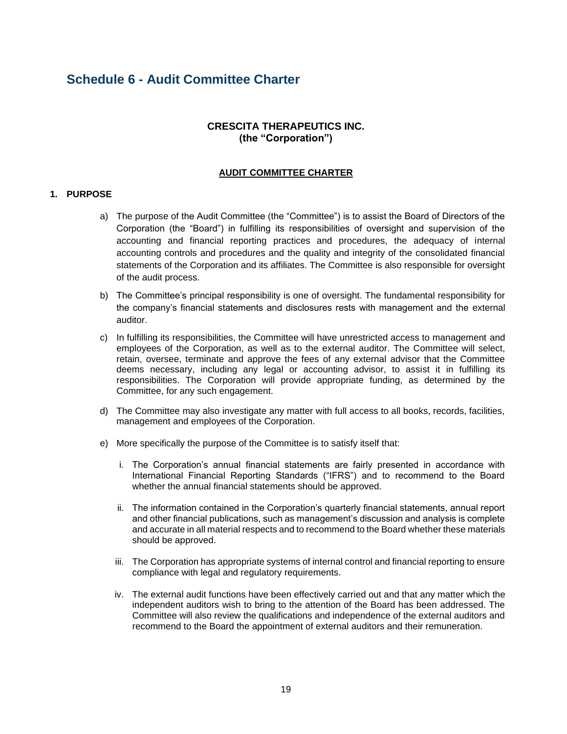# **Schedule 6 - Audit Committee Charter**

# **CRESCITA THERAPEUTICS INC. (the "Corporation")**

# **AUDIT COMMITTEE CHARTER**

# **1. PURPOSE**

- a) The purpose of the Audit Committee (the "Committee") is to assist the Board of Directors of the Corporation (the "Board") in fulfilling its responsibilities of oversight and supervision of the accounting and financial reporting practices and procedures, the adequacy of internal accounting controls and procedures and the quality and integrity of the consolidated financial statements of the Corporation and its affiliates. The Committee is also responsible for oversight of the audit process.
- b) The Committee's principal responsibility is one of oversight. The fundamental responsibility for the company's financial statements and disclosures rests with management and the external auditor.
- c) In fulfilling its responsibilities, the Committee will have unrestricted access to management and employees of the Corporation, as well as to the external auditor. The Committee will select, retain, oversee, terminate and approve the fees of any external advisor that the Committee deems necessary, including any legal or accounting advisor, to assist it in fulfilling its responsibilities. The Corporation will provide appropriate funding, as determined by the Committee, for any such engagement.
- d) The Committee may also investigate any matter with full access to all books, records, facilities, management and employees of the Corporation.
- e) More specifically the purpose of the Committee is to satisfy itself that:
	- i. The Corporation's annual financial statements are fairly presented in accordance with International Financial Reporting Standards ("IFRS") and to recommend to the Board whether the annual financial statements should be approved.
	- ii. The information contained in the Corporation's quarterly financial statements, annual report and other financial publications, such as management's discussion and analysis is complete and accurate in all material respects and to recommend to the Board whether these materials should be approved.
	- iii. The Corporation has appropriate systems of internal control and financial reporting to ensure compliance with legal and regulatory requirements.
	- iv. The external audit functions have been effectively carried out and that any matter which the independent auditors wish to bring to the attention of the Board has been addressed. The Committee will also review the qualifications and independence of the external auditors and recommend to the Board the appointment of external auditors and their remuneration.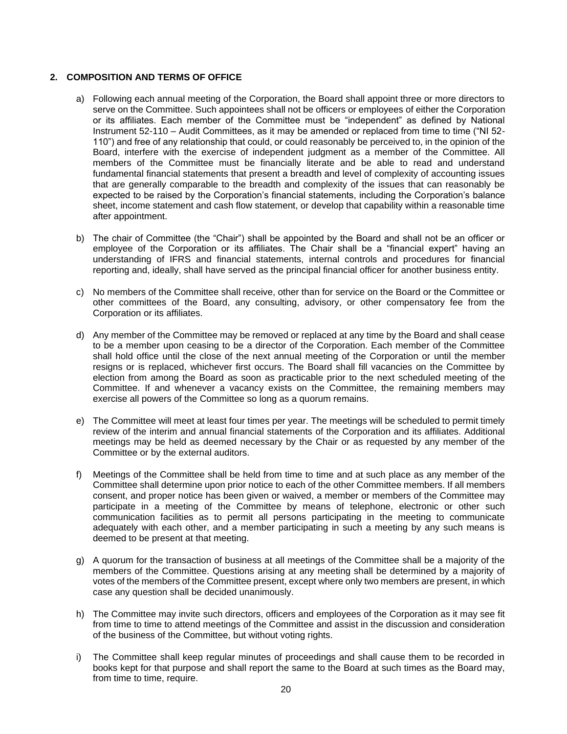# **2. COMPOSITION AND TERMS OF OFFICE**

- a) Following each annual meeting of the Corporation, the Board shall appoint three or more directors to serve on the Committee. Such appointees shall not be officers or employees of either the Corporation or its affiliates. Each member of the Committee must be "independent" as defined by National Instrument 52-110 – Audit Committees, as it may be amended or replaced from time to time ("NI 52-110") and free of any relationship that could, or could reasonably be perceived to, in the opinion of the Board, interfere with the exercise of independent judgment as a member of the Committee. All members of the Committee must be financially literate and be able to read and understand fundamental financial statements that present a breadth and level of complexity of accounting issues that are generally comparable to the breadth and complexity of the issues that can reasonably be expected to be raised by the Corporation's financial statements, including the Corporation's balance sheet, income statement and cash flow statement, or develop that capability within a reasonable time after appointment.
- b) The chair of Committee (the "Chair") shall be appointed by the Board and shall not be an officer or employee of the Corporation or its affiliates. The Chair shall be a "financial expert" having an understanding of IFRS and financial statements, internal controls and procedures for financial reporting and, ideally, shall have served as the principal financial officer for another business entity.
- c) No members of the Committee shall receive, other than for service on the Board or the Committee or other committees of the Board, any consulting, advisory, or other compensatory fee from the Corporation or its affiliates.
- d) Any member of the Committee may be removed or replaced at any time by the Board and shall cease to be a member upon ceasing to be a director of the Corporation. Each member of the Committee shall hold office until the close of the next annual meeting of the Corporation or until the member resigns or is replaced, whichever first occurs. The Board shall fill vacancies on the Committee by election from among the Board as soon as practicable prior to the next scheduled meeting of the Committee. If and whenever a vacancy exists on the Committee, the remaining members may exercise all powers of the Committee so long as a quorum remains.
- e) The Committee will meet at least four times per year. The meetings will be scheduled to permit timely review of the interim and annual financial statements of the Corporation and its affiliates. Additional meetings may be held as deemed necessary by the Chair or as requested by any member of the Committee or by the external auditors.
- f) Meetings of the Committee shall be held from time to time and at such place as any member of the Committee shall determine upon prior notice to each of the other Committee members. If all members consent, and proper notice has been given or waived, a member or members of the Committee may participate in a meeting of the Committee by means of telephone, electronic or other such communication facilities as to permit all persons participating in the meeting to communicate adequately with each other, and a member participating in such a meeting by any such means is deemed to be present at that meeting.
- g) A quorum for the transaction of business at all meetings of the Committee shall be a majority of the members of the Committee. Questions arising at any meeting shall be determined by a majority of votes of the members of the Committee present, except where only two members are present, in which case any question shall be decided unanimously.
- h) The Committee may invite such directors, officers and employees of the Corporation as it may see fit from time to time to attend meetings of the Committee and assist in the discussion and consideration of the business of the Committee, but without voting rights.
- i) The Committee shall keep regular minutes of proceedings and shall cause them to be recorded in books kept for that purpose and shall report the same to the Board at such times as the Board may, from time to time, require.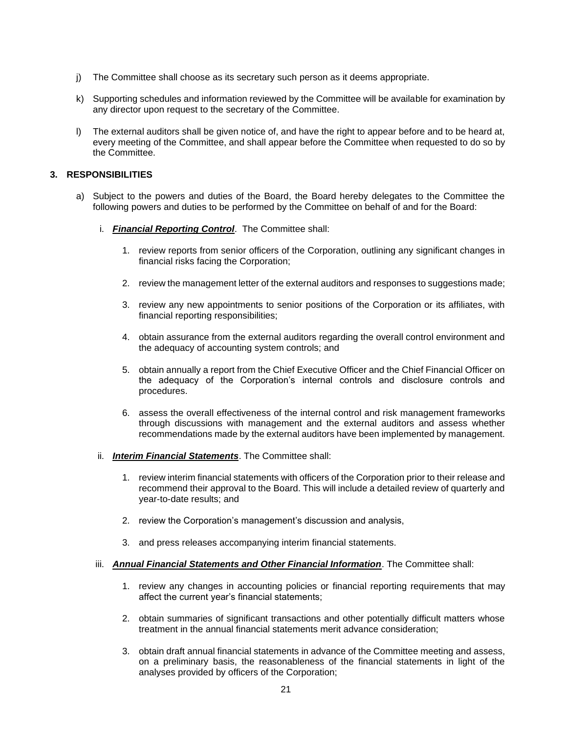- j) The Committee shall choose as its secretary such person as it deems appropriate.
- k) Supporting schedules and information reviewed by the Committee will be available for examination by any director upon request to the secretary of the Committee.
- l) The external auditors shall be given notice of, and have the right to appear before and to be heard at, every meeting of the Committee, and shall appear before the Committee when requested to do so by the Committee.

# **3. RESPONSIBILITIES**

- a) Subject to the powers and duties of the Board, the Board hereby delegates to the Committee the following powers and duties to be performed by the Committee on behalf of and for the Board:
	- i. *Financial Reporting Control*. The Committee shall:
		- 1. review reports from senior officers of the Corporation, outlining any significant changes in financial risks facing the Corporation;
		- 2. review the management letter of the external auditors and responses to suggestions made;
		- 3. review any new appointments to senior positions of the Corporation or its affiliates, with financial reporting responsibilities;
		- 4. obtain assurance from the external auditors regarding the overall control environment and the adequacy of accounting system controls; and
		- 5. obtain annually a report from the Chief Executive Officer and the Chief Financial Officer on the adequacy of the Corporation's internal controls and disclosure controls and procedures.
		- 6. assess the overall effectiveness of the internal control and risk management frameworks through discussions with management and the external auditors and assess whether recommendations made by the external auditors have been implemented by management.
	- ii. *Interim Financial Statements*. The Committee shall:
		- 1. review interim financial statements with officers of the Corporation prior to their release and recommend their approval to the Board. This will include a detailed review of quarterly and year-to-date results; and
		- 2. review the Corporation's management's discussion and analysis,
		- 3. and press releases accompanying interim financial statements.

# iii. *Annual Financial Statements and Other Financial Information*. The Committee shall:

- 1. review any changes in accounting policies or financial reporting requirements that may affect the current year's financial statements;
- 2. obtain summaries of significant transactions and other potentially difficult matters whose treatment in the annual financial statements merit advance consideration;
- 3. obtain draft annual financial statements in advance of the Committee meeting and assess, on a preliminary basis, the reasonableness of the financial statements in light of the analyses provided by officers of the Corporation;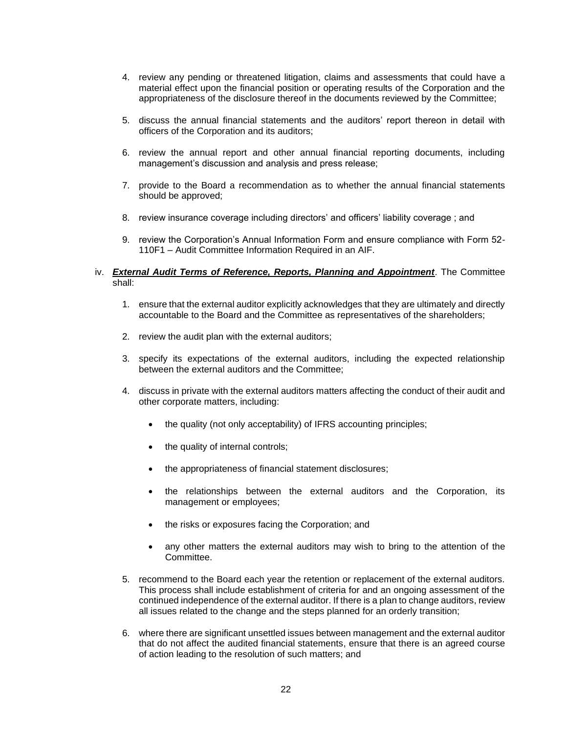- 4. review any pending or threatened litigation, claims and assessments that could have a material effect upon the financial position or operating results of the Corporation and the appropriateness of the disclosure thereof in the documents reviewed by the Committee;
- 5. discuss the annual financial statements and the auditors' report thereon in detail with officers of the Corporation and its auditors;
- 6. review the annual report and other annual financial reporting documents, including management's discussion and analysis and press release;
- 7. provide to the Board a recommendation as to whether the annual financial statements should be approved;
- 8. review insurance coverage including directors' and officers' liability coverage ; and
- 9. review the Corporation's Annual Information Form and ensure compliance with Form 52- 110F1 – Audit Committee Information Required in an AIF.

# iv. *External Audit Terms of Reference, Reports, Planning and Appointment*. The Committee shall:

- 1. ensure that the external auditor explicitly acknowledges that they are ultimately and directly accountable to the Board and the Committee as representatives of the shareholders;
- 2. review the audit plan with the external auditors;
- 3. specify its expectations of the external auditors, including the expected relationship between the external auditors and the Committee;
- 4. discuss in private with the external auditors matters affecting the conduct of their audit and other corporate matters, including:
	- the quality (not only acceptability) of IFRS accounting principles;
	- the quality of internal controls;
	- the appropriateness of financial statement disclosures;
	- the relationships between the external auditors and the Corporation, its management or employees;
	- the risks or exposures facing the Corporation; and
	- any other matters the external auditors may wish to bring to the attention of the Committee.
- 5. recommend to the Board each year the retention or replacement of the external auditors. This process shall include establishment of criteria for and an ongoing assessment of the continued independence of the external auditor. If there is a plan to change auditors, review all issues related to the change and the steps planned for an orderly transition;
- 6. where there are significant unsettled issues between management and the external auditor that do not affect the audited financial statements, ensure that there is an agreed course of action leading to the resolution of such matters; and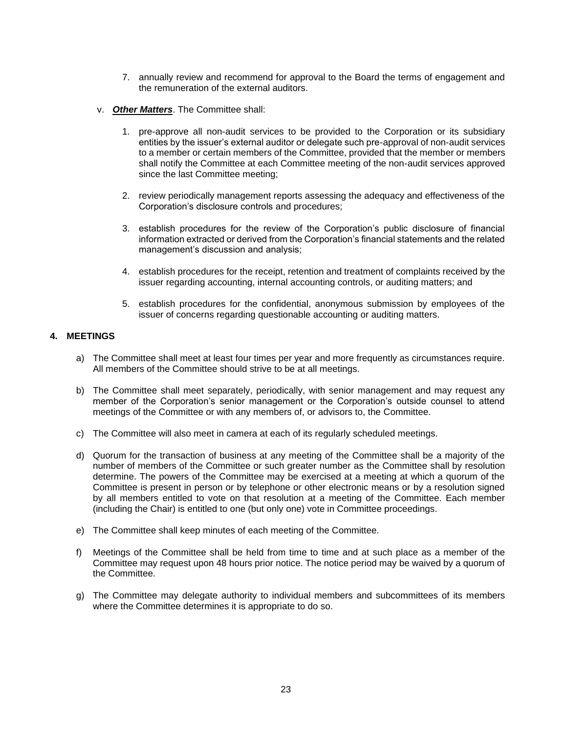- 7. annually review and recommend for approval to the Board the terms of engagement and the remuneration of the external auditors.
- v. *Other Matters*. The Committee shall:
	- 1. pre-approve all non-audit services to be provided to the Corporation or its subsidiary entities by the issuer's external auditor or delegate such pre-approval of non-audit services to a member or certain members of the Committee, provided that the member or members shall notify the Committee at each Committee meeting of the non-audit services approved since the last Committee meeting;
	- 2. review periodically management reports assessing the adequacy and effectiveness of the Corporation's disclosure controls and procedures;
	- 3. establish procedures for the review of the Corporation's public disclosure of financial information extracted or derived from the Corporation's financial statements and the related management's discussion and analysis;
	- 4. establish procedures for the receipt, retention and treatment of complaints received by the issuer regarding accounting, internal accounting controls, or auditing matters; and
	- 5. establish procedures for the confidential, anonymous submission by employees of the issuer of concerns regarding questionable accounting or auditing matters.

# **4. MEETINGS**

- a) The Committee shall meet at least four times per year and more frequently as circumstances require. All members of the Committee should strive to be at all meetings.
- b) The Committee shall meet separately, periodically, with senior management and may request any member of the Corporation's senior management or the Corporation's outside counsel to attend meetings of the Committee or with any members of, or advisors to, the Committee.
- c) The Committee will also meet in camera at each of its regularly scheduled meetings.
- d) Quorum for the transaction of business at any meeting of the Committee shall be a majority of the number of members of the Committee or such greater number as the Committee shall by resolution determine. The powers of the Committee may be exercised at a meeting at which a quorum of the Committee is present in person or by telephone or other electronic means or by a resolution signed by all members entitled to vote on that resolution at a meeting of the Committee. Each member (including the Chair) is entitled to one (but only one) vote in Committee proceedings.
- e) The Committee shall keep minutes of each meeting of the Committee.
- f) Meetings of the Committee shall be held from time to time and at such place as a member of the Committee may request upon 48 hours prior notice. The notice period may be waived by a quorum of the Committee.
- g) The Committee may delegate authority to individual members and subcommittees of its members where the Committee determines it is appropriate to do so.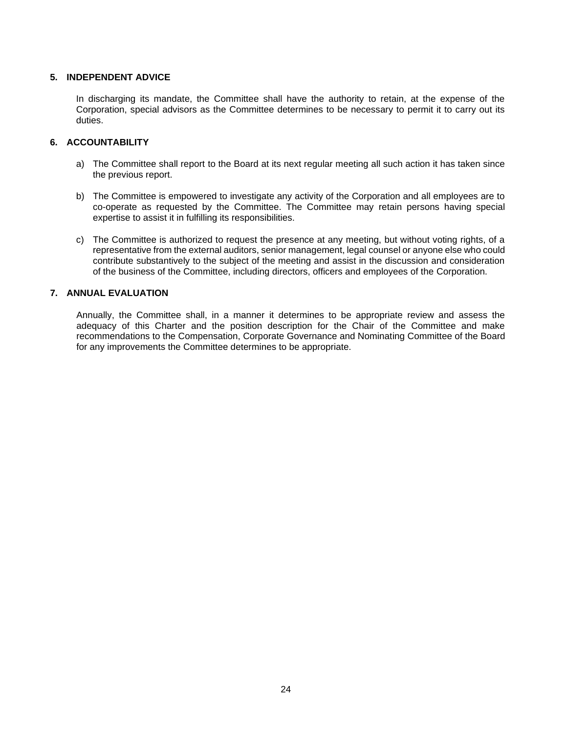# **5. INDEPENDENT ADVICE**

In discharging its mandate, the Committee shall have the authority to retain, at the expense of the Corporation, special advisors as the Committee determines to be necessary to permit it to carry out its duties.

# **6. ACCOUNTABILITY**

- a) The Committee shall report to the Board at its next regular meeting all such action it has taken since the previous report.
- b) The Committee is empowered to investigate any activity of the Corporation and all employees are to co-operate as requested by the Committee. The Committee may retain persons having special expertise to assist it in fulfilling its responsibilities.
- c) The Committee is authorized to request the presence at any meeting, but without voting rights, of a representative from the external auditors, senior management, legal counsel or anyone else who could contribute substantively to the subject of the meeting and assist in the discussion and consideration of the business of the Committee, including directors, officers and employees of the Corporation.

# **7. ANNUAL EVALUATION**

Annually, the Committee shall, in a manner it determines to be appropriate review and assess the adequacy of this Charter and the position description for the Chair of the Committee and make recommendations to the Compensation, Corporate Governance and Nominating Committee of the Board for any improvements the Committee determines to be appropriate.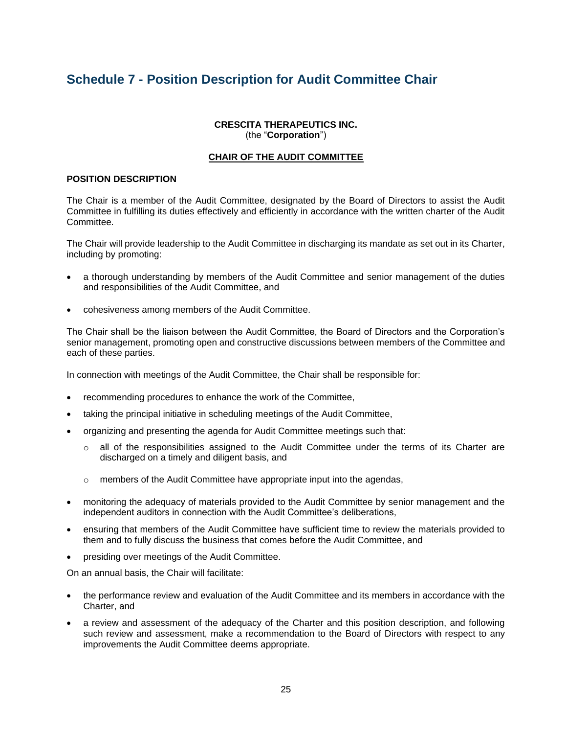# **Schedule 7 - Position Description for Audit Committee Chair**

# **CRESCITA THERAPEUTICS INC.** (the "**Corporation**")

# **CHAIR OF THE AUDIT COMMITTEE**

# **POSITION DESCRIPTION**

The Chair is a member of the Audit Committee, designated by the Board of Directors to assist the Audit Committee in fulfilling its duties effectively and efficiently in accordance with the written charter of the Audit Committee.

The Chair will provide leadership to the Audit Committee in discharging its mandate as set out in its Charter, including by promoting:

- a thorough understanding by members of the Audit Committee and senior management of the duties and responsibilities of the Audit Committee, and
- cohesiveness among members of the Audit Committee.

The Chair shall be the liaison between the Audit Committee, the Board of Directors and the Corporation's senior management, promoting open and constructive discussions between members of the Committee and each of these parties.

In connection with meetings of the Audit Committee, the Chair shall be responsible for:

- recommending procedures to enhance the work of the Committee,
- taking the principal initiative in scheduling meetings of the Audit Committee,
- organizing and presenting the agenda for Audit Committee meetings such that:
	- all of the responsibilities assigned to the Audit Committee under the terms of its Charter are discharged on a timely and diligent basis, and
	- o members of the Audit Committee have appropriate input into the agendas,
- monitoring the adequacy of materials provided to the Audit Committee by senior management and the independent auditors in connection with the Audit Committee's deliberations,
- ensuring that members of the Audit Committee have sufficient time to review the materials provided to them and to fully discuss the business that comes before the Audit Committee, and
- presiding over meetings of the Audit Committee.

On an annual basis, the Chair will facilitate:

- the performance review and evaluation of the Audit Committee and its members in accordance with the Charter, and
- a review and assessment of the adequacy of the Charter and this position description, and following such review and assessment, make a recommendation to the Board of Directors with respect to any improvements the Audit Committee deems appropriate.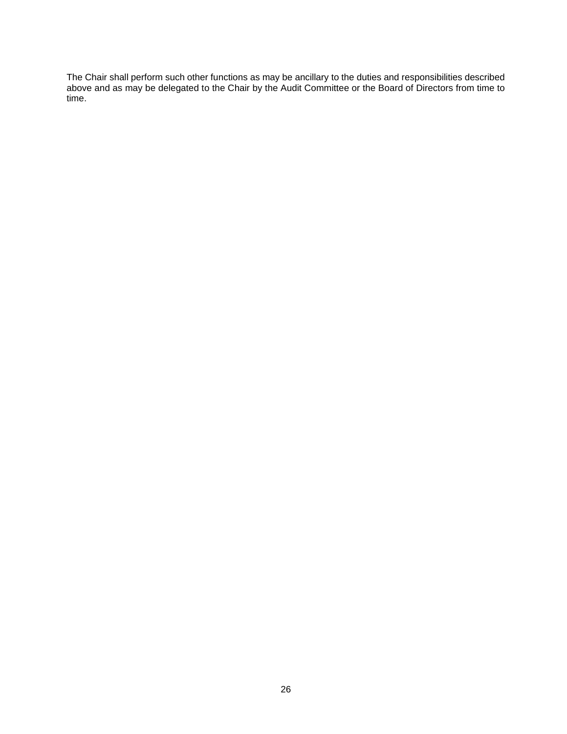The Chair shall perform such other functions as may be ancillary to the duties and responsibilities described above and as may be delegated to the Chair by the Audit Committee or the Board of Directors from time to time.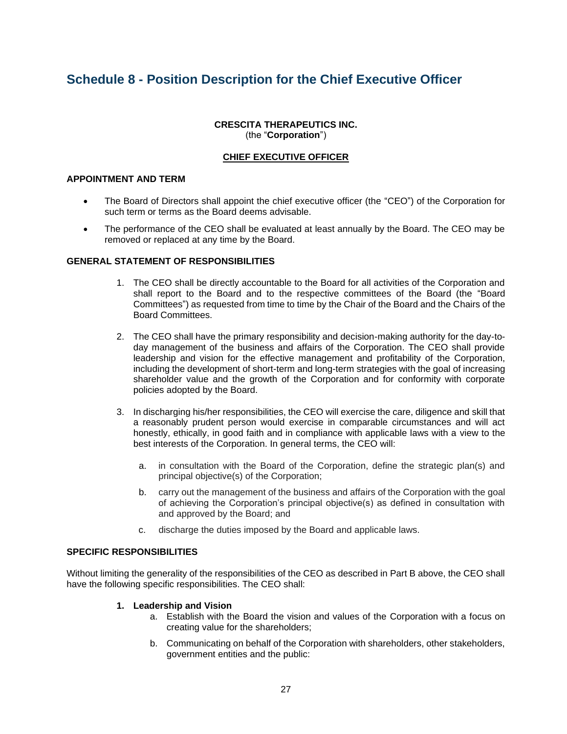# **Schedule 8 - Position Description for the Chief Executive Officer**

# **CRESCITA THERAPEUTICS INC.** (the "**Corporation**")

# **CHIEF EXECUTIVE OFFICER**

# **APPOINTMENT AND TERM**

- The Board of Directors shall appoint the chief executive officer (the "CEO") of the Corporation for such term or terms as the Board deems advisable.
- The performance of the CEO shall be evaluated at least annually by the Board. The CEO may be removed or replaced at any time by the Board.

# **GENERAL STATEMENT OF RESPONSIBILITIES**

- 1. The CEO shall be directly accountable to the Board for all activities of the Corporation and shall report to the Board and to the respective committees of the Board (the "Board Committees") as requested from time to time by the Chair of the Board and the Chairs of the Board Committees.
- 2. The CEO shall have the primary responsibility and decision-making authority for the day-today management of the business and affairs of the Corporation. The CEO shall provide leadership and vision for the effective management and profitability of the Corporation, including the development of short-term and long-term strategies with the goal of increasing shareholder value and the growth of the Corporation and for conformity with corporate policies adopted by the Board.
- 3. In discharging his/her responsibilities, the CEO will exercise the care, diligence and skill that a reasonably prudent person would exercise in comparable circumstances and will act honestly, ethically, in good faith and in compliance with applicable laws with a view to the best interests of the Corporation. In general terms, the CEO will:
	- a. in consultation with the Board of the Corporation, define the strategic plan(s) and principal objective(s) of the Corporation;
	- b. carry out the management of the business and affairs of the Corporation with the goal of achieving the Corporation's principal objective(s) as defined in consultation with and approved by the Board; and
	- c. discharge the duties imposed by the Board and applicable laws.

#### **SPECIFIC RESPONSIBILITIES**

Without limiting the generality of the responsibilities of the CEO as described in Part B above, the CEO shall have the following specific responsibilities. The CEO shall:

- **1. Leadership and Vision**
	- a. Establish with the Board the vision and values of the Corporation with a focus on creating value for the shareholders;
	- b. Communicating on behalf of the Corporation with shareholders, other stakeholders, government entities and the public: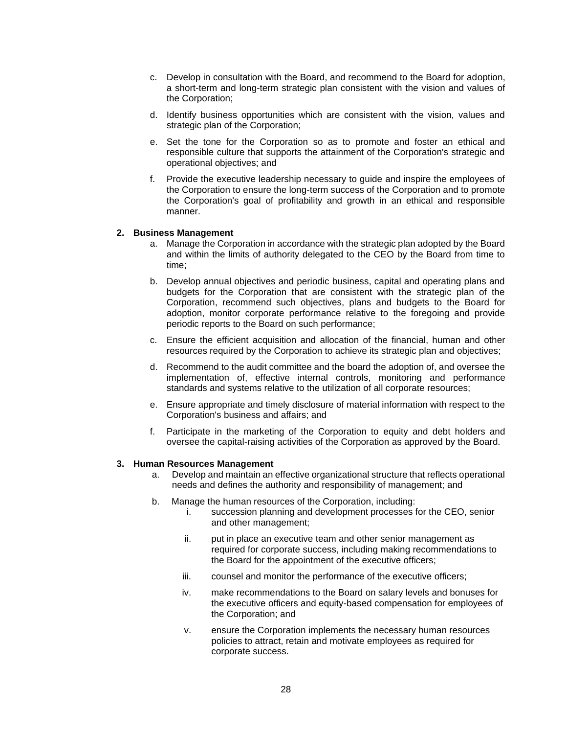- c. Develop in consultation with the Board, and recommend to the Board for adoption, a short-term and long-term strategic plan consistent with the vision and values of the Corporation;
- d. Identify business opportunities which are consistent with the vision, values and strategic plan of the Corporation;
- e. Set the tone for the Corporation so as to promote and foster an ethical and responsible culture that supports the attainment of the Corporation's strategic and operational objectives; and
- f. Provide the executive leadership necessary to guide and inspire the employees of the Corporation to ensure the long-term success of the Corporation and to promote the Corporation's goal of profitability and growth in an ethical and responsible manner.

#### **2. Business Management**

- a. Manage the Corporation in accordance with the strategic plan adopted by the Board and within the limits of authority delegated to the CEO by the Board from time to time;
- b. Develop annual objectives and periodic business, capital and operating plans and budgets for the Corporation that are consistent with the strategic plan of the Corporation, recommend such objectives, plans and budgets to the Board for adoption, monitor corporate performance relative to the foregoing and provide periodic reports to the Board on such performance;
- c. Ensure the efficient acquisition and allocation of the financial, human and other resources required by the Corporation to achieve its strategic plan and objectives;
- d. Recommend to the audit committee and the board the adoption of, and oversee the implementation of, effective internal controls, monitoring and performance standards and systems relative to the utilization of all corporate resources;
- e. Ensure appropriate and timely disclosure of material information with respect to the Corporation's business and affairs; and
- f. Participate in the marketing of the Corporation to equity and debt holders and oversee the capital-raising activities of the Corporation as approved by the Board.

#### **3. Human Resources Management**

- a. Develop and maintain an effective organizational structure that reflects operational needs and defines the authority and responsibility of management; and
- b. Manage the human resources of the Corporation, including:
	- i. succession planning and development processes for the CEO, senior and other management;
	- ii. put in place an executive team and other senior management as required for corporate success, including making recommendations to the Board for the appointment of the executive officers;
	- iii. counsel and monitor the performance of the executive officers;
	- iv. make recommendations to the Board on salary levels and bonuses for the executive officers and equity-based compensation for employees of the Corporation; and
	- v. ensure the Corporation implements the necessary human resources policies to attract, retain and motivate employees as required for corporate success.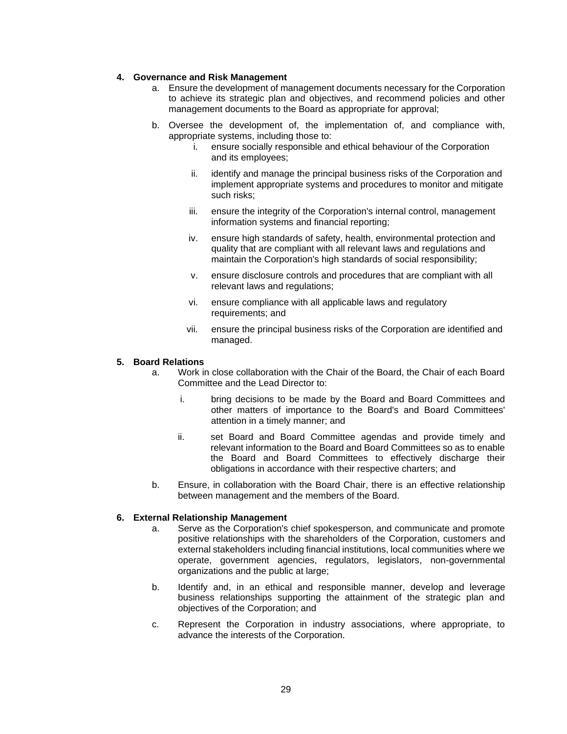# **4. Governance and Risk Management**

- a. Ensure the development of management documents necessary for the Corporation to achieve its strategic plan and objectives, and recommend policies and other management documents to the Board as appropriate for approval;
- b. Oversee the development of, the implementation of, and compliance with, appropriate systems, including those to:
	- i. ensure socially responsible and ethical behaviour of the Corporation and its employees;
	- ii. identify and manage the principal business risks of the Corporation and implement appropriate systems and procedures to monitor and mitigate such risks;
	- iii. ensure the integrity of the Corporation's internal control, management information systems and financial reporting;
	- iv. ensure high standards of safety, health, environmental protection and quality that are compliant with all relevant laws and regulations and maintain the Corporation's high standards of social responsibility;
	- v. ensure disclosure controls and procedures that are compliant with all relevant laws and regulations;
	- vi. ensure compliance with all applicable laws and regulatory requirements; and
	- vii. ensure the principal business risks of the Corporation are identified and managed.

# **5. Board Relations**

- a. Work in close collaboration with the Chair of the Board, the Chair of each Board Committee and the Lead Director to:
	- i. bring decisions to be made by the Board and Board Committees and other matters of importance to the Board's and Board Committees' attention in a timely manner; and
	- ii. set Board and Board Committee agendas and provide timely and relevant information to the Board and Board Committees so as to enable the Board and Board Committees to effectively discharge their obligations in accordance with their respective charters; and
- b. Ensure, in collaboration with the Board Chair, there is an effective relationship between management and the members of the Board.

# **6. External Relationship Management**

- a. Serve as the Corporation's chief spokesperson, and communicate and promote positive relationships with the shareholders of the Corporation, customers and external stakeholders including financial institutions, local communities where we operate, government agencies, regulators, legislators, non-governmental organizations and the public at large;
- b. Identify and, in an ethical and responsible manner, develop and leverage business relationships supporting the attainment of the strategic plan and objectives of the Corporation; and
- c. Represent the Corporation in industry associations, where appropriate, to advance the interests of the Corporation.